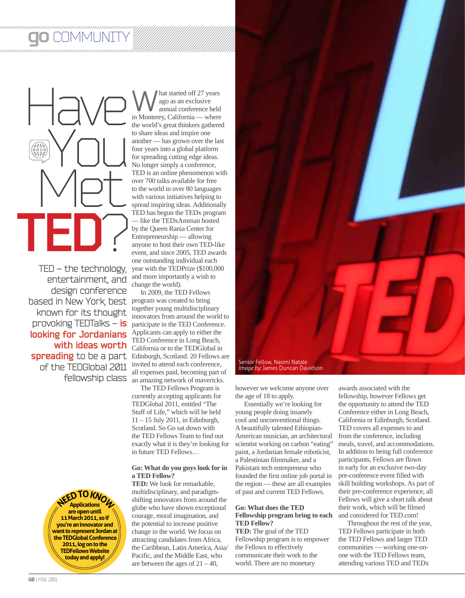## COMMUNITY



TED – the technology, entertainment, and design conference based in New York, best program was created to bring known for its thought provoking TEDTalks – **is looking for Jordanians with ideas worth**  of the TEDGlobal 2011 fellowship class

> **NEED TO KNOW Applications are open until 11 March 2011, so if you're an innovator and want to represent Jordan at the TEDGlobal Conference 2011, log on to the TEDFellows Website today and apply!**

**W** hat started off 27 years<br>
ago as an exclusive<br>
in Monterey, California — where ago as an exclusive annual conference held the world's great thinkers gathered to share ideas and inspire one another — has grown over the last four years into a global platform for spreading cutting edge ideas. No longer simply a conference, TED is an online phenomenon with over 700 talks available for free to the world in over 80 languages with various initiatives helping to spread inspiring ideas. Additionally TED has begun the TEDx program — like the TEDxAmman hosted by the Queen Rania Center for Entrepreneurship — allowing anyone to host their own TED-like event, and since 2005, TED awards one outstanding individual each year with the TEDPrize (\$100,000 and more importantly a wish to change the world).

**spreading** to be a part Edinburgh, Scotland. 20 Fellows are In 2009, the TED Fellows together young multidisciplinary innovators from around the world to participate in the TED Conference. Applicants can apply to either the TED Conference in Long Beach, California or to the TEDGlobal in invited to attend each conference, all expenses paid, becoming part of an amazing network of mavericks.

The TED Fellows Program is currently accepting applicants for TEDGlobal 2011, entitled "The Stuff of Life," which will be held 11 – 15 July 2011, in Edinburgh, Scotland. So Go sat down with the TED Fellows Team to find out exactly what it is they're looking for in future TED Fellows…

## **Go: What do you guys look for in a TED Fellow?**

**TED:** We look for remarkable, multidisciplinary, and paradigmshifting innovators from around the globe who have shown exceptional courage, moral imagination, and the potential to increase positive change in the world. We focus on attracting candidates from Africa, the Caribbean, Latin America, Asia/ Pacific, and the Middle East, who are between the ages of  $21 - 40$ ,



however we welcome anyone over the age of 18 to apply.

Essentially we're looking for young people doing insanely cool and unconventional things. A beautifully talented Ethiopian-American musician, an architectural scientist working on carbon "eating" paint, a Jordanian female roboticist, a Palestinian filmmaker, and a Pakistani tech entrepreneur who founded the first online job portal in the region — these are all examples of past and current TED Fellows.

## **Go: What does the TED Fellowship program bring to each TED Fellow?**

**TED:** The goal of the TED Fellowship program is to empower the Fellows to effectively communicate their work to the world. There are no monetary

awards associated with the fellowship, however Fellows get the opportunity to attend the TED Conference either in Long Beach, California or Edinburgh, Scotland. TED covers all expenses to and from the conference, including meals, travel, and accommodations. In addition to being full conference participants, Fellows are flown in early for an exclusive two-day pre-conference event filled with skill building workshops. As part of their pre-conference experience, all Fellows will give a short talk about their work, which will be filmed and considered for TED.com!

Throughout the rest of the year, TED Fellows participate in both the TED Fellows and larger TED communities — working one-onone with the TED Fellows team, attending various TED and TEDx